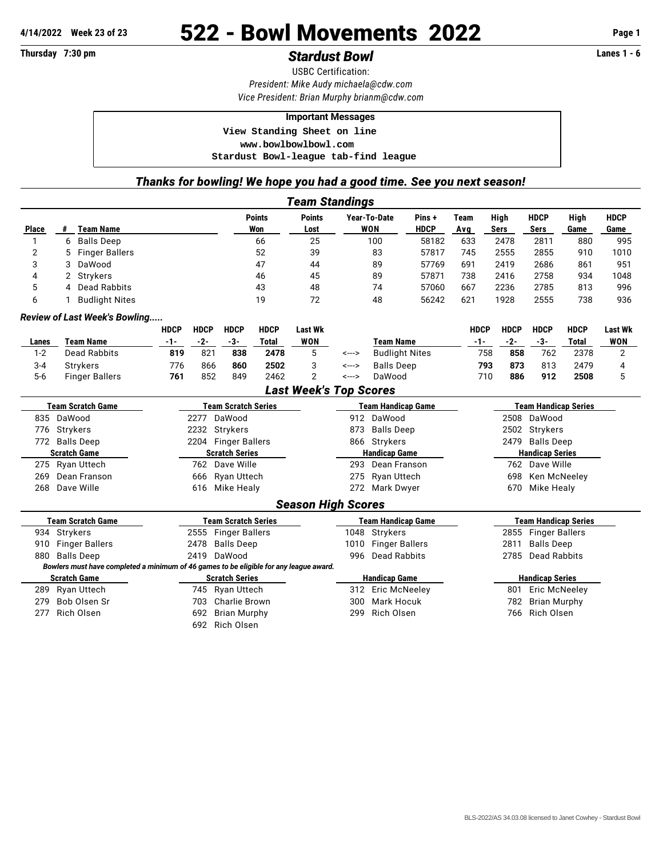## **4/14/2022 Week 23 of 23** 522 - Bowl Movements 2022 **Page 1**

USBC Certification: *President: Mike Audy [michaela@cdw.com](mailto:michaela@cdw.com)*

*Vice President: Brian Murphy [brianm@cdw.com](mailto:brianm@cdw.com)*

## **Important Messages**

 **View Standing Sheet on line <www.bowlbowlbowl.com>**

 **Stardust Bowl-league tab-find league**

## *Thanks for bowling! We hope you had a good time. See you next season!*

|                          |                                                                                        |                            |                       |                      |                       | <b>Team Standings</b>         |                      |                           |                             |                             |                             |                     |                     |            |  |  |
|--------------------------|----------------------------------------------------------------------------------------|----------------------------|-----------------------|----------------------|-----------------------|-------------------------------|----------------------|---------------------------|-----------------------------|-----------------------------|-----------------------------|---------------------|---------------------|------------|--|--|
| Place                    | <b>Team Name</b><br>#                                                                  |                            | <b>Points</b><br>Won  |                      | <b>Points</b><br>Lost | Year-To-Date<br><b>WON</b>    |                      | Pins +<br><b>HDCP</b>     | <b>Team</b><br>Avg          | High<br><b>Sers</b>         | <b>HDCP</b><br><b>Sers</b>  | High<br>Game        | <b>HDCP</b><br>Game |            |  |  |
| $\mathbf{1}$             | <b>Balls Deep</b><br>6                                                                 |                            |                       | 66                   |                       | 25                            | 100                  |                           | 58182                       | 633                         | 2478                        | 2811                | 880                 | 995        |  |  |
| $\overline{2}$           | 5<br><b>Finger Ballers</b>                                                             |                            |                       | 52                   |                       | 39                            | 83                   |                           | 57817                       | 745                         | 2555                        | 2855                | 910                 | 1010       |  |  |
| 3                        | DaWood<br>3                                                                            |                            |                       | 47                   |                       | 44                            |                      | 89<br>57769               |                             | 691                         | 2419                        | 2686                | 861                 | 951        |  |  |
| $\overline{4}$           | Strykers<br>2                                                                          |                            |                       | 46                   |                       | 45                            |                      | 89                        | 57871                       | 738                         | 2416                        | 2758                | 934                 | 1048       |  |  |
| 5                        | Dead Rabbits<br>4                                                                      |                            |                       | 43                   |                       | 48                            |                      | 74                        | 57060                       |                             | 2236                        | 2785                | 813                 | 996        |  |  |
| 6                        | <b>Budlight Nites</b>                                                                  |                            |                       |                      | 19                    | 72                            |                      | 48                        | 56242                       | 621                         | 1928                        | 2555                | 738                 | 936        |  |  |
|                          | <b>Review of Last Week's Bowling</b>                                                   |                            |                       |                      |                       |                               |                      |                           |                             |                             |                             |                     |                     |            |  |  |
|                          |                                                                                        | <b>HDCP</b>                | <b>HDCP</b>           | <b>HDCP</b>          | <b>HDCP</b>           | <b>Last Wk</b>                |                      |                           |                             | <b>HDCP</b>                 | <b>HDCP</b>                 | <b>HDCP</b>         | <b>HDCP</b>         | Last Wk    |  |  |
| Lanes                    | <b>Team Name</b>                                                                       | $-1-$                      | $-2-$                 | $-3-$                | <b>Total</b>          | <b>WON</b>                    |                      | <b>Team Name</b>          |                             | $-1-$                       | $-2-$                       | $-3-$               | <b>Total</b>        | <b>WON</b> |  |  |
| $1 - 2$                  | Dead Rabbits                                                                           | 819                        | 821                   | 838                  | 2478                  | 5                             | <--->                | <b>Budlight Nites</b>     |                             | 758                         | 858                         | 762                 | 2378                | 2          |  |  |
| $3 - 4$                  | <b>Strykers</b>                                                                        | 776                        | 866                   | 860                  | 2502                  | 3                             | <--->                | <b>Balls Deep</b>         |                             | 793                         | 873                         | 813                 | 2479                | 4          |  |  |
| $5-6$                    | <b>Finger Ballers</b>                                                                  | 761                        | 852                   | 849                  | 2462                  | $\overline{2}$                | <--->                | DaWood                    |                             | 710                         | 886                         | 912                 | 2508                | 5          |  |  |
|                          |                                                                                        |                            |                       |                      |                       | <b>Last Week's Top Scores</b> |                      |                           |                             |                             |                             |                     |                     |            |  |  |
| <b>Team Scratch Game</b> |                                                                                        | <b>Team Scratch Series</b> |                       |                      |                       |                               |                      | <b>Team Handicap Game</b> |                             |                             | <b>Team Handicap Series</b> |                     |                     |            |  |  |
| DaWood<br>835            |                                                                                        | DaWood<br>2277             |                       |                      |                       |                               | 912<br>DaWood        |                           |                             | 2508                        | DaWood                      |                     |                     |            |  |  |
| Strykers<br>776          |                                                                                        | Strykers<br>2232           |                       |                      |                       | 873                           | <b>Balls Deep</b>    |                           |                             | 2502                        | Strykers                    |                     |                     |            |  |  |
| 772 Balls Deep           |                                                                                        | 2204 Finger Ballers        |                       |                      |                       | 866                           | Strykers             |                           |                             | 2479                        | <b>Balls Deep</b>           |                     |                     |            |  |  |
| <b>Scratch Game</b>      |                                                                                        | <b>Scratch Series</b>      |                       |                      |                       | <b>Handicap Game</b>          |                      |                           |                             | <b>Handicap Series</b>      |                             |                     |                     |            |  |  |
|                          | 275<br>Ryan Uttech                                                                     |                            | 762 Dave Wille        |                      |                       |                               | Dean Franson<br>293  |                           |                             |                             | 762 Dave Wille              |                     |                     |            |  |  |
| 269                      | Dean Franson                                                                           | 666                        |                       |                      | Ryan Uttech           |                               | 275                  | Ryan Uttech               |                             |                             | 698                         |                     | Ken McNeeley        |            |  |  |
| 268                      | Dave Wille                                                                             |                            | 616                   | Mike Healy           |                       |                               | 272                  | Mark Dwyer                |                             |                             | 670                         | Mike Healy          |                     |            |  |  |
|                          |                                                                                        |                            |                       |                      |                       | <b>Season High Scores</b>     |                      |                           |                             |                             |                             |                     |                     |            |  |  |
|                          | <b>Team Scratch Game</b>                                                               | <b>Team Scratch Series</b> |                       |                      |                       |                               |                      | <b>Team Handicap Game</b> |                             | <b>Team Handicap Series</b> |                             |                     |                     |            |  |  |
|                          | 934 Strykers                                                                           |                            |                       | 2555 Finger Ballers  |                       |                               | 1048                 | Strykers                  |                             |                             |                             | 2855 Finger Ballers |                     |            |  |  |
| 910                      | <b>Finger Ballers</b>                                                                  |                            | 2478                  | <b>Balls Deep</b>    |                       |                               | 1010                 | <b>Finger Ballers</b>     |                             |                             | 2811                        | <b>Balls Deep</b>   |                     |            |  |  |
| 880                      | <b>Balls Deep</b>                                                                      |                            | 2419                  | DaWood               |                       |                               | 996                  | <b>Dead Rabbits</b>       |                             |                             | 2785                        | <b>Dead Rabbits</b> |                     |            |  |  |
|                          | Bowlers must have completed a minimum of 46 games to be eligible for any league award. |                            |                       |                      |                       |                               |                      |                           |                             |                             |                             |                     |                     |            |  |  |
| <b>Scratch Game</b>      |                                                                                        |                            | <b>Scratch Series</b> |                      |                       |                               | <b>Handicap Game</b> |                           |                             |                             | <b>Handicap Series</b>      |                     |                     |            |  |  |
|                          | 289 Ryan Uttech                                                                        | 745 Ryan Uttech            |                       |                      |                       | <b>Eric McNeeley</b><br>312   |                      |                           | <b>Eric McNeeley</b><br>801 |                             |                             |                     |                     |            |  |  |
| 279                      | Bob Olsen Sr                                                                           |                            | 703                   | <b>Charlie Brown</b> |                       |                               | 300                  | <b>Mark Hocuk</b>         |                             |                             | 782                         | <b>Brian Murphy</b> |                     |            |  |  |
| 277                      | Rich Olsen                                                                             |                            | 692                   | <b>Brian Murphy</b>  |                       |                               | 299                  | Rich Olsen                |                             |                             | 766                         | Rich Olsen          |                     |            |  |  |
|                          |                                                                                        |                            | 692                   | Rich Olsen           |                       |                               |                      |                           |                             |                             |                             |                     |                     |            |  |  |